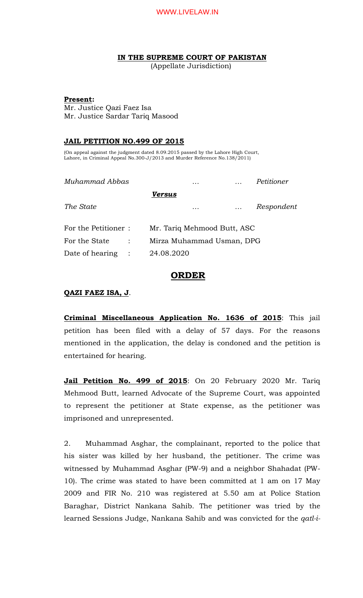**IN THE SUPREME COURT OF PAKISTAN**

(Appellate Jurisdiction)

### **Present:**

Mr. Justice Qazi Faez Isa Mr. Justice Sardar Tariq Masood

## **JAIL PETITION NO.499 OF 2015**

(On appeal against the judgment dated 8.09.2015 passed by the Lahore High Court, Lahore, in Criminal Appeal No.300-J/2013 and Murder Reference No.138/2011)

| Muhammad Abbas      |                | .                           |   |          | Petitioner |            |
|---------------------|----------------|-----------------------------|---|----------|------------|------------|
|                     |                | Versus                      |   |          |            |            |
| The State           |                |                             | . | $\cdots$ |            | Respondent |
| For the Petitioner: |                | Mr. Tariq Mehmood Butt, ASC |   |          |            |            |
| For the State       | $\ddot{\cdot}$ | Mirza Muhammad Usman, DPG   |   |          |            |            |
| Date of hearing     | $\mathbb{R}^2$ | 24.08.2020                  |   |          |            |            |
|                     |                |                             |   |          |            |            |

# **ORDER**

## **QAZI FAEZ ISA, J**.

**Criminal Miscellaneous Application No. 1636 of 2015**: This jail petition has been filed with a delay of 57 days. For the reasons mentioned in the application, the delay is condoned and the petition is entertained for hearing.

**Jail Petition No. 499 of 2015**: On 20 February 2020 Mr. Tariq Mehmood Butt, learned Advocate of the Supreme Court, was appointed to represent the petitioner at State expense, as the petitioner was imprisoned and unrepresented.

2. Muhammad Asghar, the complainant, reported to the police that his sister was killed by her husband, the petitioner. The crime was witnessed by Muhammad Asghar (PW-9) and a neighbor Shahadat (PW-10). The crime was stated to have been committed at 1 am on 17 May 2009 and FIR No. 210 was registered at 5.50 am at Police Station Baraghar, District Nankana Sahib. The petitioner was tried by the learned Sessions Judge, Nankana Sahib and was convicted for the *qatl-i-*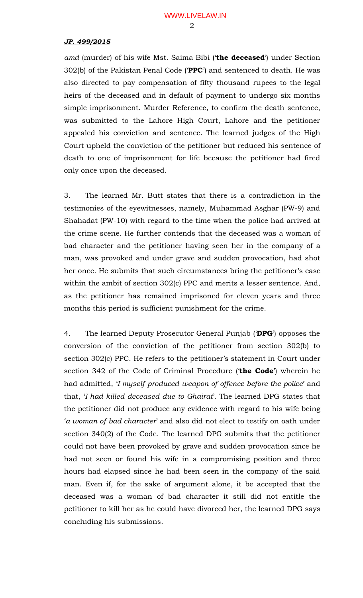*amd* (murder) of his wife Mst. Saima Bibi ('**the deceased**') under Section 302(b) of the Pakistan Penal Code ('**PPC**') and sentenced to death. He was also directed to pay compensation of fifty thousand rupees to the legal heirs of the deceased and in default of payment to undergo six months simple imprisonment. Murder Reference, to confirm the death sentence, was submitted to the Lahore High Court, Lahore and the petitioner appealed his conviction and sentence. The learned judges of the High Court upheld the conviction of the petitioner but reduced his sentence of death to one of imprisonment for life because the petitioner had fired only once upon the deceased.

3. The learned Mr. Butt states that there is a contradiction in the testimonies of the eyewitnesses, namely, Muhammad Asghar (PW-9) and Shahadat (PW-10) with regard to the time when the police had arrived at the crime scene. He further contends that the deceased was a woman of bad character and the petitioner having seen her in the company of a man, was provoked and under grave and sudden provocation, had shot her once. He submits that such circumstances bring the petitioner's case within the ambit of section 302(c) PPC and merits a lesser sentence. And, as the petitioner has remained imprisoned for eleven years and three months this period is sufficient punishment for the crime.

4. The learned Deputy Prosecutor General Punjab ('**DPG**') opposes the conversion of the conviction of the petitioner from section 302(b) to section 302(c) PPC. He refers to the petitioner's statement in Court under section 342 of the Code of Criminal Procedure ('**the Code**') wherein he had admitted, '*I myself produced weapon of offence before the police*' and that, '*I had killed deceased due to Ghairat*'. The learned DPG states that the petitioner did not produce any evidence with regard to his wife being '*a woman of bad character*' and also did not elect to testify on oath under section 340(2) of the Code. The learned DPG submits that the petitioner could not have been provoked by grave and sudden provocation since he had not seen or found his wife in a compromising position and three hours had elapsed since he had been seen in the company of the said man. Even if, for the sake of argument alone, it be accepted that the deceased was a woman of bad character it still did not entitle the petitioner to kill her as he could have divorced her, the learned DPG says concluding his submissions.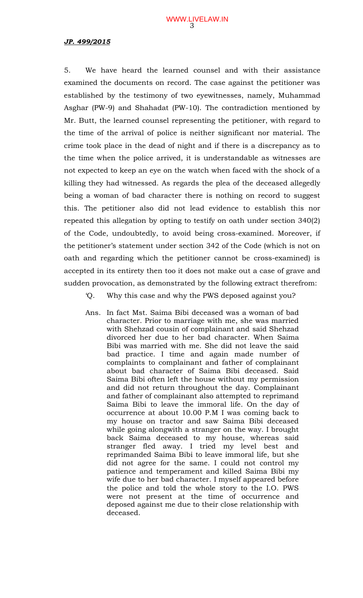5. We have heard the learned counsel and with their assistance examined the documents on record. The case against the petitioner was established by the testimony of two eyewitnesses, namely, Muhammad Asghar (PW-9) and Shahadat (PW-10). The contradiction mentioned by Mr. Butt, the learned counsel representing the petitioner, with regard to the time of the arrival of police is neither significant nor material. The crime took place in the dead of night and if there is a discrepancy as to the time when the police arrived, it is understandable as witnesses are not expected to keep an eye on the watch when faced with the shock of a killing they had witnessed. As regards the plea of the deceased allegedly being a woman of bad character there is nothing on record to suggest this. The petitioner also did not lead evidence to establish this nor repeated this allegation by opting to testify on oath under section 340(2) of the Code, undoubtedly, to avoid being cross-examined. Moreover, if the petitioner's statement under section 342 of the Code (which is not on oath and regarding which the petitioner cannot be cross-examined) is accepted in its entirety then too it does not make out a case of grave and sudden provocation, as demonstrated by the following extract therefrom:

'Q. Why this case and why the PWS deposed against you?

Ans. In fact Mst. Saima Bibi deceased was a woman of bad character. Prior to marriage with me, she was married with Shehzad cousin of complainant and said Shehzad divorced her due to her bad character. When Saima Bibi was married with me. She did not leave the said bad practice. I time and again made number of complaints to complainant and father of complainant about bad character of Saima Bibi deceased. Said Saima Bibi often left the house without my permission and did not return throughout the day. Complainant and father of complainant also attempted to reprimand Saima Bibi to leave the immoral life. On the day of occurrence at about 10.00 P.M I was coming back to my house on tractor and saw Saima Bibi deceased while going alongwith a stranger on the way. I brought back Saima deceased to my house, whereas said stranger fled away. I tried my level best and reprimanded Saima Bibi to leave immoral life, but she did not agree for the same. I could not control my patience and temperament and killed Saima Bibi my wife due to her bad character. I myself appeared before the police and told the whole story to the I.O. PWS were not present at the time of occurrence and deposed against me due to their close relationship with deceased.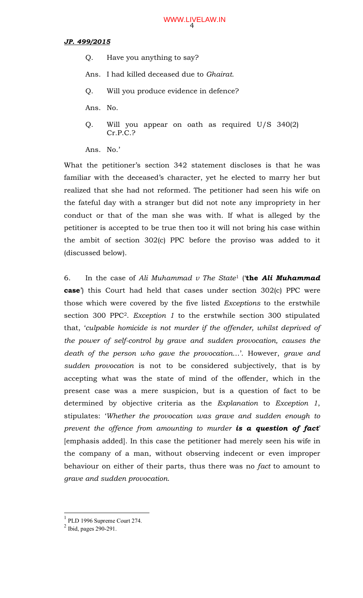- Q. Have you anything to say?
- Ans. I had killed deceased due to *Ghairat*.
- Q. Will you produce evidence in defence?
- Ans. No.
- Q. Will you appear on oath as required U/S 340(2) Cr.P.C.?

Ans. No.'

What the petitioner's section 342 statement discloses is that he was familiar with the deceased's character, yet he elected to marry her but realized that she had not reformed. The petitioner had seen his wife on the fateful day with a stranger but did not note any impropriety in her conduct or that of the man she was with. If what is alleged by the petitioner is accepted to be true then too it will not bring his case within the ambit of section 302(c) PPC before the proviso was added to it (discussed below).

6. In the case of *Ali Muhammad v The State*<sup>1</sup> ('**the** *Ali Muhammad* **case**') this Court had held that cases under section 302(c) PPC were those which were covered by the five listed *Exceptions* to the erstwhile section 300 PPC<sup>2</sup>. *Exception 1* to the erstwhile section 300 stipulated that, '*culpable homicide is not murder if the offender, whilst deprived of the power of self-control by grave and sudden provocation, causes the death of the person who gave the provocation*…'. However, *grave and sudden provocation* is not to be considered subjectively, that is by accepting what was the state of mind of the offender, which in the present case was a mere suspicion, but is a question of fact to be determined by objective criteria as the *Explanation* to *Exception 1*, stipulates: '*Whether the provocation was grave and sudden enough to prevent the offence from amounting to murder is a question of fact*' [emphasis added]. In this case the petitioner had merely seen his wife in the company of a man, without observing indecent or even improper behaviour on either of their parts, thus there was no *fact* to amount to *grave and sudden provocation*.

<sup>&</sup>lt;sup>1</sup> PLD 1996 Supreme Court 274.

 $2$  Ibid, pages 290-291.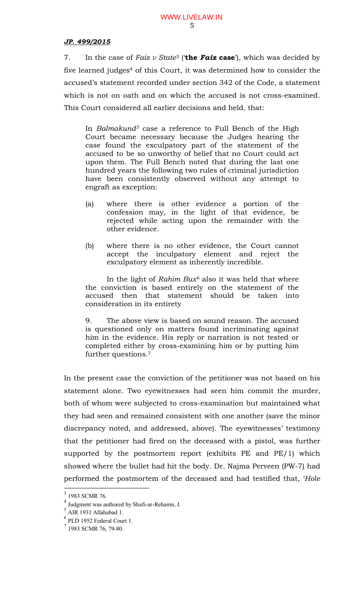7. In the case of *Faiz v State*<sup>3</sup> ('**the** *Faiz* **case**'), which was decided by five learned judges<sup>4</sup> of this Court, it was determined how to consider the accused's statement recorded under section 342 of the Code, a statement which is not on oath and on which the accused is not cross-examined. This Court considered all earlier decisions and held, that:

In *Balmakund<sup>5</sup>* case a reference to Full Bench of the High Court became necessary because the Judges hearing the case found the exculpatory part of the statement of the accused to be so unworthy of belief that no Court could act upon them. The Full Bench noted that during the last one hundred years the following two rules of criminal jurisdiction have been consistently observed without any attempt to engraft as exception:

- (a) where there is other evidence a portion of the confession may, in the light of that evidence, be rejected while acting upon the remainder with the other evidence.
- (b) where there is no other evidence, the Court cannot accept the inculpatory element and reject the exculpatory element as inherently incredible.

In the light of *Rahim Bux<sup>6</sup>* also it was held that where the conviction is based entirely on the statement of the accused then that statement should be taken into consideration in its entirety

9. The above view is based on sound reason. The accused is questioned only on matters found incriminating against him in the evidence. His reply or narration is not tested or completed either by cross-examining him or by putting him further questions.<sup>7</sup>

In the present case the conviction of the petitioner was not based on his statement alone. Two eyewitnesses had seen him commit the murder, both of whom were subjected to cross-examination but maintained what they had seen and remained consistent with one another (save the minor discrepancy noted, and addressed, above). The eyewitnesses' testimony that the petitioner had fired on the deceased with a pistol, was further supported by the postmortem report (exhibits PE and PE/1) which showed where the bullet had hit the body. Dr. Najma Perveen (PW-7) had performed the postmortem of the deceased and had testified that, '*Hole* 

<sup>&</sup>lt;sup>3</sup> 1983 SCMR 76.

<sup>4</sup> Judgment was authored by Shafi-ur-Rehamn, J.

 $<sup>5</sup>$  AIR 1931 Allahabad 1.</sup>

<sup>6</sup> PLD 1952 Federal Court 1.

<sup>7</sup> 1983 SCMR 76, 79-80.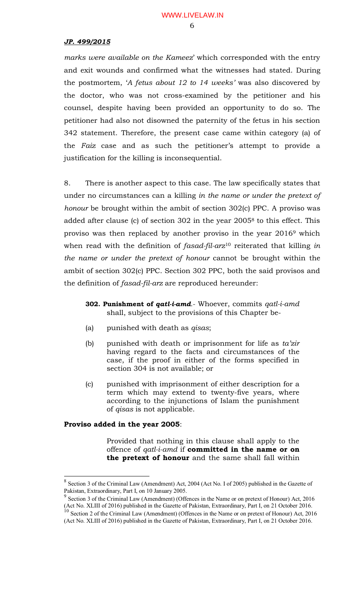*marks were available on the Kameez*' which corresponded with the entry and exit wounds and confirmed what the witnesses had stated. During the postmortem, '*A fetus about 12 to 14 weeks'* was also discovered by the doctor, who was not cross-examined by the petitioner and his counsel, despite having been provided an opportunity to do so. The petitioner had also not disowned the paternity of the fetus in his section 342 statement. Therefore, the present case came within category (a) of the *Faiz* case and as such the petitioner's attempt to provide a justification for the killing is inconsequential.

8. There is another aspect to this case. The law specifically states that under no circumstances can a killing *in the name or under the pretext of honour* be brought within the ambit of section 302(c) PPC. A proviso was added after clause (c) of section 302 in the year 2005<sup>8</sup> to this effect. This proviso was then replaced by another proviso in the year 2016<sup>9</sup> which when read with the definition of *fasad-fil-arz*<sup>10</sup> reiterated that killing *in the name or under the pretext of honour* cannot be brought within the ambit of section 302(c) PPC. Section 302 PPC, both the said provisos and the definition of *fasad-fil-arz* are reproduced hereunder:

- **302. Punishment of** *qatl-i-amd*.- Whoever, commits *qatl-i-amd* shall, subject to the provisions of this Chapter be-
- (a) punished with death as *qisas*;
- (b) punished with death or imprisonment for life as *ta'zir* having regard to the facts and circumstances of the case, if the proof in either of the forms specified in section 304 is not available; or
- (c) punished with imprisonment of either description for a term which may extend to twenty-five years, where according to the injunctions of Islam the punishment of *qisas* is not applicable.

### **Proviso added in the year 2005**:

 $\overline{a}$ 

Provided that nothing in this clause shall apply to the offence of *qatl-i-amd* if **committed in the name or on the pretext of honour** and the same shall fall within

 $8$  Section 3 of the Criminal Law (Amendment) Act, 2004 (Act No. I of 2005) published in the Gazette of Pakistan, Extraordinary, Part I, on 10 January 2005.<br><sup>9</sup> Section 2 of the Criminal Law (Amendmant) (Off

Section 3 of the Criminal Law (Amendment) (Offences in the Name or on pretext of Honour) Act, 2016 (Act No. XLIII of 2016) published in the Gazette of Pakistan, Extraordinary, Part I, on 21 October 2016.  $10$  Section 2 of the Criminal Law (Amendment) (Offences in the Name or on pretext of Honour) Act, 2016

<sup>(</sup>Act No. XLIII of 2016) published in the Gazette of Pakistan, Extraordinary, Part I, on 21 October 2016.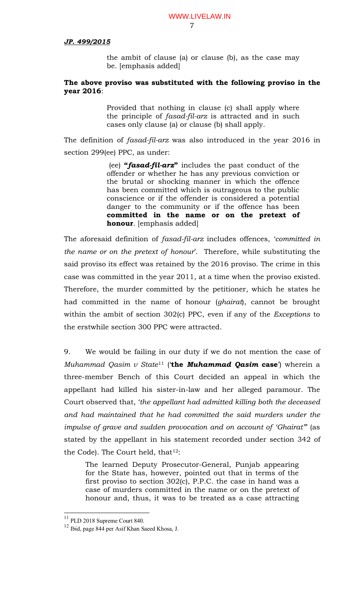the ambit of clause (a) or clause (b), as the case may be. [emphasis added]

### **The above proviso was substituted with the following proviso in the year 2016**:

Provided that nothing in clause (c) shall apply where the principle of *fasad-fil-arz* is attracted and in such cases only clause (a) or clause (b) shall apply.

The definition of *fasad-fil-arz* was also introduced in the year 2016 in section 299(ee) PPC, as under:

> (ee) **"***fasad-fil-arz***"** includes the past conduct of the offender or whether he has any previous conviction or the brutal or shocking manner in which the offence has been committed which is outrageous to the public conscience or if the offender is considered a potential danger to the community or if the offence has been **committed in the name or on the pretext of honour**. [emphasis added]

The aforesaid definition of *fasad-fil-arz* includes offences, '*committed in the name or on the pretext of honour*'. Therefore, while substituting the said proviso its effect was retained by the 2016 proviso. The crime in this case was committed in the year 2011, at a time when the proviso existed. Therefore, the murder committed by the petitioner, which he states he had committed in the name of honour (*ghairat*), cannot be brought within the ambit of section 302(c) PPC, even if any of the *Exceptions* to the erstwhile section 300 PPC were attracted.

9. We would be failing in our duty if we do not mention the case of *Muhammad Qasim v State*<sup>11</sup> ('**the** *Muhammad Qasim* **case**') wherein a three-member Bench of this Court decided an appeal in which the appellant had killed his sister-in-law and her alleged paramour. The Court observed that, '*the appellant had admitted killing both the deceased and had maintained that he had committed the said murders under the impulse of grave and sudden provocation and on account of 'Ghairat"*' (as stated by the appellant in his statement recorded under section 342 of the Code). The Court held, that <sup>12</sup>:

The learned Deputy Prosecutor-General, Punjab appearing for the State has, however, pointed out that in terms of the first proviso to section 302(c), P.P.C. the case in hand was a case of murders committed in the name or on the pretext of honour and, thus, it was to be treated as a case attracting

 $11$  PLD 2018 Supreme Court 840.

<sup>12</sup> Ibid, page 844 per Asif Khan Saeed Khosa, J.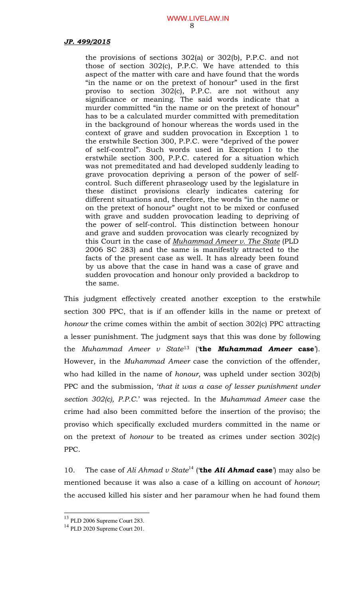the provisions of sections 302(a) or 302(b), P.P.C. and not those of section 302(c), P.P.C. We have attended to this aspect of the matter with care and have found that the words "in the name or on the pretext of honour" used in the first proviso to section 302(c), P.P.C. are not without any significance or meaning. The said words indicate that a murder committed "in the name or on the pretext of honour" has to be a calculated murder committed with premeditation in the background of honour whereas the words used in the context of grave and sudden provocation in Exception 1 to the erstwhile Section 300, P.P.C. were "deprived of the power of self-control". Such words used in Exception I to the erstwhile section 300, P.P.C. catered for a situation which was not premeditated and had developed suddenly leading to grave provocation depriving a person of the power of selfcontrol. Such different phraseology used by the legislature in these distinct provisions clearly indicates catering for different situations and, therefore, the words "in the name or on the pretext of honour" ought not to be mixed or confused with grave and sudden provocation leading to depriving of the power of self-control. This distinction between honour and grave and sudden provocation was clearly recognized by this Court in the case of *Muhammad Ameer v. The State* (PLD 2006 SC 283) and the same is manifestly attracted to the facts of the present case as well. It has already been found by us above that the case in hand was a case of grave and sudden provocation and honour only provided a backdrop to the same.

This judgment effectively created another exception to the erstwhile section 300 PPC, that is if an offender kills in the name or pretext of *honour* the crime comes within the ambit of section 302(c) PPC attracting a lesser punishment. The judgment says that this was done by following the *Muhammad Ameer v State*<sup>13</sup> ('**the** *Muhammad Ameer* **case**'). However, in the *Muhammad Ameer* case the conviction of the offender, who had killed in the name of *honour*, was upheld under section 302(b) PPC and the submission, '*that it was a case of lesser punishment under section 302(c), P.P.C.*' was rejected. In the *Muhammad Ameer* case the crime had also been committed before the insertion of the proviso; the proviso which specifically excluded murders committed in the name or on the pretext of *honour* to be treated as crimes under section 302(c) PPC.

10. The case of *Ali Ahmad v State*<sup>14</sup> (**'the** *Ali Ahmad* **case**') may also be mentioned because it was also a case of a killing on account of *honour*; the accused killed his sister and her paramour when he had found them

<sup>&</sup>lt;sup>13</sup> PLD 2006 Supreme Court 283.

<sup>&</sup>lt;sup>14</sup> PLD 2020 Supreme Court 201.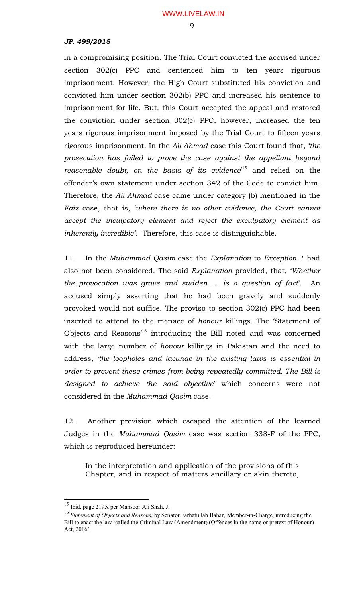in a compromising position. The Trial Court convicted the accused under section 302(c) PPC and sentenced him to ten years rigorous imprisonment. However, the High Court substituted his conviction and convicted him under section 302(b) PPC and increased his sentence to imprisonment for life. But, this Court accepted the appeal and restored the conviction under section 302(c) PPC, however, increased the ten years rigorous imprisonment imposed by the Trial Court to fifteen years rigorous imprisonment. In the *Ali Ahmad* case this Court found that, '*the prosecution has failed to prove the case against the appellant beyond reasonable doubt, on the basis of its evidence*' <sup>15</sup> and relied on the offender's own statement under section 342 of the Code to convict him. Therefore, the *Ali Ahmad* case came under category (b) mentioned in the *Faiz* case, that is, '*where there is no other evidence, the Court cannot accept the inculpatory element and reject the exculpatory element as inherently incredible'*. Therefore, this case is distinguishable.

11. In the *Muhammad Qasim* case the *Explanation* to *Exception 1* had also not been considered. The said *Explanation* provided, that, '*Whether the provocation was grave and sudden … is a question of fact*'. An accused simply asserting that he had been gravely and suddenly provoked would not suffice. The proviso to section 302(c) PPC had been inserted to attend to the menace of *honour* killings. The 'Statement of Objects and Reasons<sup>16</sup> introducing the Bill noted and was concerned with the large number of *honour* killings in Pakistan and the need to address, '*the loopholes and lacunae in the existing laws is essential in order to prevent these crimes from being repeatedly committed. The Bill is designed to achieve the said objective*' which concerns were not considered in the *Muhammad Qasim* case.

12. Another provision which escaped the attention of the learned Judges in the *Muhammad Qasim* case was section 338-F of the PPC, which is reproduced hereunder:

In the interpretation and application of the provisions of this Chapter, and in respect of matters ancillary or akin thereto,

 $\overline{\phantom{a}}$ 

<sup>&</sup>lt;sup>15</sup> Ibid, page 219X per Mansoor Ali Shah, J.

<sup>16</sup> *Statement of Objects and Reasons*, by Senator Farhatullah Babar, Member-in-Charge, introducing the Bill to enact the law 'called the Criminal Law (Amendment) (Offences in the name or pretext of Honour) Act, 2016'.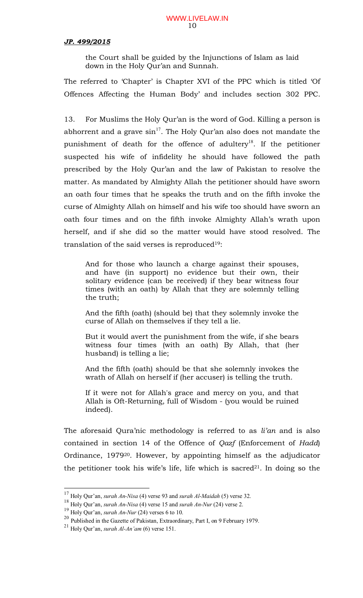the Court shall be guided by the Injunctions of Islam as laid down in the Holy Qur'an and Sunnah.

The referred to 'Chapter' is Chapter XVI of the PPC which is titled 'Of Offences Affecting the Human Body' and includes section 302 PPC.

13. For Muslims the Holy Qur'an is the word of God. Killing a person is abhorrent and a grave  $\sin^{17}$ . The Holy Qur'an also does not mandate the punishment of death for the offence of adultery<sup>18</sup>. If the petitioner suspected his wife of infidelity he should have followed the path prescribed by the Holy Qur'an and the law of Pakistan to resolve the matter. As mandated by Almighty Allah the petitioner should have sworn an oath four times that he speaks the truth and on the fifth invoke the curse of Almighty Allah on himself and his wife too should have sworn an oath four times and on the fifth invoke Almighty Allah's wrath upon herself, and if she did so the matter would have stood resolved. The translation of the said verses is reproduced<sup>19</sup>:

And for those who launch a charge against their spouses, and have (in support) no evidence but their own, their solitary evidence (can be received) if they bear witness four times (with an oath) by Allah that they are solemnly telling the truth;

And the fifth (oath) (should be) that they solemnly invoke the curse of Allah on themselves if they tell a lie.

But it would avert the punishment from the wife, if she bears witness four times (with an oath) By Allah, that (her husband) is telling a lie;

And the fifth (oath) should be that she solemnly invokes the wrath of Allah on herself if (her accuser) is telling the truth.

If it were not for Allah's grace and mercy on you, and that Allah is Oft-Returning, full of Wisdom - (you would be ruined indeed).

The aforesaid Qura'nic methodology is referred to as *li'an* and is also contained in section 14 of the Offence of *Qazf* (Enforcement of *Hadd*) Ordinance, 1979<sup>20</sup>. However, by appointing himself as the adjudicator the petitioner took his wife's life, life which is sacred<sup>21</sup>. In doing so the

<sup>17</sup> Holy Qur'an, *surah An-Nisa* (4) verse 93 and *surah Al-Maidah* (5) verse 32.

<sup>18</sup> Holy Qur'an, *surah An-Nisa* (4) verse 15 and *surah An-Nur* (24) verse 2.

<sup>19</sup> Holy Qur'an, *surah An-Nur* (24) verses 6 to 10.

<sup>20</sup> Published in the Gazette of Pakistan, Extraordinary, Part I, on 9 February 1979.

<sup>21</sup> Holy Qur'an, *surah Al-An'am* (6) verse 151.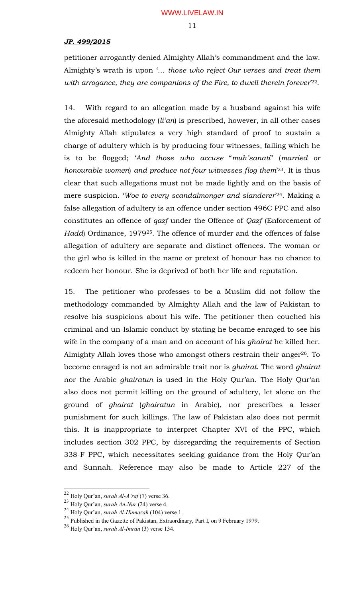petitioner arrogantly denied Almighty Allah's commandment and the law. Almighty's wrath is upon '… *those who reject Our verses and treat them*  with arrogance, they are companions of the Fire, to dwell therein forever<sup>22</sup>.

14. With regard to an allegation made by a husband against his wife the aforesaid methodology (*li'an*) is prescribed, however, in all other cases Almighty Allah stipulates a very high standard of proof to sustain a charge of adultery which is by producing four witnesses, failing which he is to be flogged; '*And those who accuse* "*muh'sanati*" (*married or honourable women*) *and produce not four witnesses flog them*' <sup>23</sup>. It is thus clear that such allegations must not be made lightly and on the basis of mere suspicion. '*Woe to every scandalmonger and slanderer*' <sup>24</sup>. Making a false allegation of adultery is an offence under section 496C PPC and also constitutes an offence of *qazf* under the Offence of *Qazf* (Enforcement of *Hadd*) Ordinance, 1979<sup>25</sup>. The offence of murder and the offences of false allegation of adultery are separate and distinct offences. The woman or the girl who is killed in the name or pretext of honour has no chance to redeem her honour. She is deprived of both her life and reputation.

15. The petitioner who professes to be a Muslim did not follow the methodology commanded by Almighty Allah and the law of Pakistan to resolve his suspicions about his wife. The petitioner then couched his criminal and un-Islamic conduct by stating he became enraged to see his wife in the company of a man and on account of his *ghairat* he killed her. Almighty Allah loves those who amongst others restrain their anger<sup>26</sup>. To become enraged is not an admirable trait nor is *ghairat*. The word *ghairat* nor the Arabic *ghairatun* is used in the Holy Qur'an. The Holy Qur'an also does not permit killing on the ground of adultery, let alone on the ground of *ghairat* (*ghairatun* in Arabic), nor prescribes a lesser punishment for such killings. The law of Pakistan also does not permit this. It is inappropriate to interpret Chapter XVI of the PPC, which includes section 302 PPC, by disregarding the requirements of Section 338-F PPC, which necessitates seeking guidance from the Holy Qur'an and Sunnah. Reference may also be made to Article 227 of the

<sup>22</sup> Holy Qur'an, *surah Al-A'raf* (7) verse 36.

<sup>23</sup> Holy Qur'an, *surah An-Nur* (24) verse 4.

<sup>24</sup> Holy Qur'an, *surah Al-Humazah* (104) verse 1.

<sup>25</sup> Published in the Gazette of Pakistan, Extraordinary, Part I, on 9 February 1979.

<sup>26</sup> Holy Qur'an, *surah Al-Imran* (3) verse 134.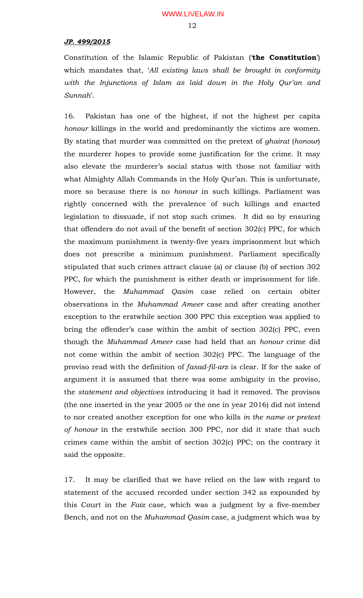#### 12

#### *JP. 499/2015*

Constitution of the Islamic Republic of Pakistan ('**the Constitution**') which mandates that, '*All existing laws shall be brought in conformity with the Injunctions of Islam as laid down in the Holy Qur'an and Sunnah*'.

16. Pakistan has one of the highest, if not the highest per capita *honour* killings in the world and predominantly the victims are women. By stating that murder was committed on the pretext of *ghairat* (*honour*) the murderer hopes to provide some justification for the crime. It may also elevate the murderer's social status with those not familiar with what Almighty Allah Commands in the Holy Qur'an. This is unfortunate, more so because there is no *honour* in such killings. Parliament was rightly concerned with the prevalence of such killings and enacted legislation to dissuade, if not stop such crimes. It did so by ensuring that offenders do not avail of the benefit of section 302(c) PPC, for which the maximum punishment is twenty-five years imprisonment but which does not prescribe a minimum punishment. Parliament specifically stipulated that such crimes attract clause (a) or clause (b) of section 302 PPC, for which the punishment is either death or imprisonment for life. However, the *Muhammad Qasim* case relied on certain obiter observations in the *Muhammad Ameer* case and after creating another exception to the erstwhile section 300 PPC this exception was applied to bring the offender's case within the ambit of section 302(c) PPC, even though the *Muhammad Ameer* case had held that an *honour* crime did not come within the ambit of section 302(c) PPC. The language of the proviso read with the definition of *fasad-fil-arz* is clear. If for the sake of argument it is assumed that there was some ambiguity in the proviso, the *statement and objectives* introducing it had it removed. The provisos (the one inserted in the year 2005 or the one in year 2016) did not intend to nor created another exception for one who kills *in the name or pretext of honour* in the erstwhile section 300 PPC, nor did it state that such crimes came within the ambit of section 302(c) PPC; on the contrary it said the opposite.

17. It may be clarified that we have relied on the law with regard to statement of the accused recorded under section 342 as expounded by this Court in the *Faiz* case, which was a judgment by a five-member Bench, and not on the *Muhammad Qasim* case, a judgment which was by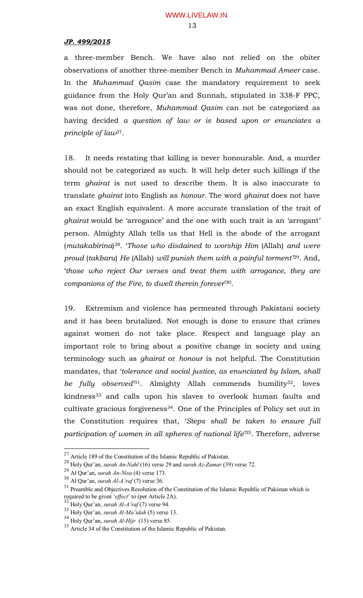a three-member Bench. We have also not relied on the obiter observations of another three-member Bench in *Muhammad Ameer* case. In the *Muhammad Qasim* case the mandatory requirement to seek guidance from the Holy Qur'an and Sunnah, stipulated in 338-F PPC, was not done, therefore, *Muhammad Qasim* can not be categorized as having decided *a question of law or is based upon or enunciates a principle of law*<sup>27</sup>.

18. It needs restating that killing is never honourable. And, a murder should not be categorized as such. It will help deter such killings if the term *ghairat* is not used to describe them. It is also inaccurate to translate *ghairat* into English as *honour.* The word *ghairat* does not have an exact English equivalent. A more accurate translation of the trait of *ghairat* would be 'arrogance' and the one with such trait is an 'arrogant' person. Almighty Allah tells us that Hell is the abode of the arrogant (*mutakabirina*) <sup>28</sup>. '*Those who disdained to worship Him* (Allah) *and were proud* (*takbaru*) *He* (Allah) *will punish them with a painful torment'*<sup>29</sup>. And, '*those who reject Our verses and treat them with arrogance, they are companions of the Fire, to dwell therein forever*' <sup>30</sup>.

19. Extremism and violence has permeated through Pakistani society and it has been brutalized. Not enough is done to ensure that crimes against women do not take place. Respect and language play an important role to bring about a positive change in society and using terminology such as *ghairat* or *honour* is not helpful. The Constitution mandates, that '*tolerance and social justice, as enunciated by Islam, shall be fully observed*' <sup>31</sup>. Almighty Allah commends humility<sup>32</sup>, loves kindness<sup>33</sup> and calls upon his slaves to overlook human faults and cultivate gracious forgiveness<sup>34</sup>. One of the Principles of Policy set out in the Constitution requires that, '*Steps shall be taken to ensure full participation of women in all spheres of national life*' <sup>35</sup>. Therefore, adverse

 $27$  Article 189 of the Constitution of the Islamic Republic of Pakistan.

<sup>28</sup> Holy Qur'an, *surah An-Nahl* (16) verse 29 and *surah Az-Zumar* (39) verse 72.

<sup>29</sup> Al Qur'an, *surah An-Nisa* (4) verse 173.

<sup>30</sup> Al Qur'an, *surah Al-A'raf* (7) verse 36.

<sup>&</sup>lt;sup>31</sup> Preamble and Objectives Resolution of the Constitution of the Islamic Republic of Pakistan which is required to be given '*effect*' to (per Article 2A).

<sup>32</sup> Holy Qur'an, *surah Al-A'raf* (7) verse 94.

<sup>33</sup> Holy Qur'an, *surah Al-Ma'idah* (5) verse 13.

<sup>34</sup> Holy Qur'an, *surah Al-Hijr* (15) verse 85.

<sup>&</sup>lt;sup>35</sup> Article 34 of the Constitution of the Islamic Republic of Pakistan.